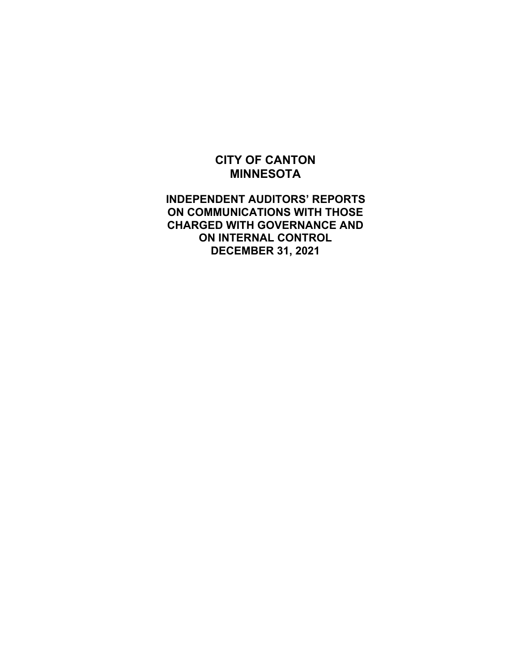## **INDEPENDENT AUDITORS' REPORTS ON COMMUNICATIONS WITH THOSE CHARGED WITH GOVERNANCE AND ON INTERNAL CONTROL DECEMBER 31, 2021**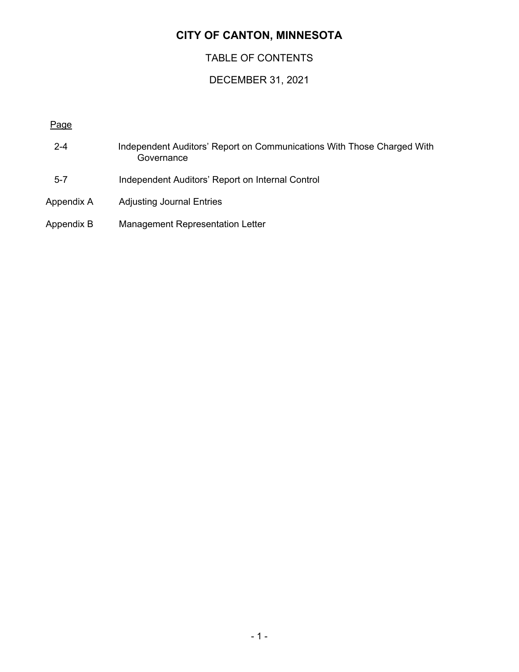## TABLE OF CONTENTS

## DECEMBER 31, 2021

#### Page

- 2-4 Independent Auditors' Report on Communications With Those Charged With **Governance** 5-7 Independent Auditors' Report on Internal Control
- Appendix A Adjusting Journal Entries
- Appendix B Management Representation Letter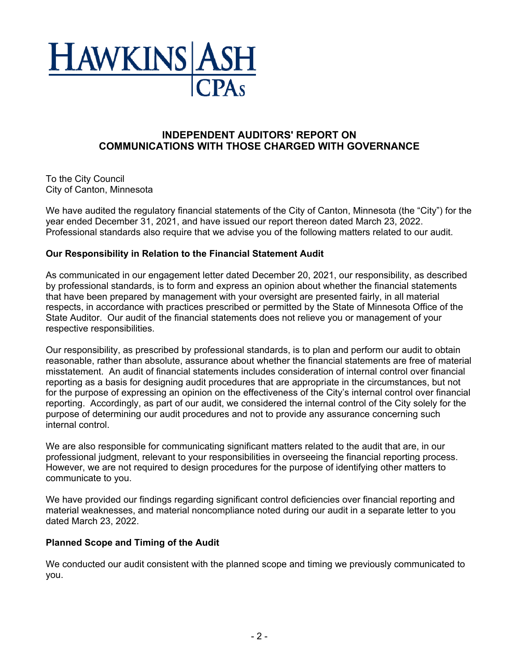

#### **INDEPENDENT AUDITORS' REPORT ON COMMUNICATIONS WITH THOSE CHARGED WITH GOVERNANCE**

To the City Council City of Canton, Minnesota

We have audited the regulatory financial statements of the City of Canton, Minnesota (the "City") for the year ended December 31, 2021, and have issued our report thereon dated March 23, 2022. Professional standards also require that we advise you of the following matters related to our audit.

#### **Our Responsibility in Relation to the Financial Statement Audit**

As communicated in our engagement letter dated December 20, 2021, our responsibility, as described by professional standards, is to form and express an opinion about whether the financial statements that have been prepared by management with your oversight are presented fairly, in all material respects, in accordance with practices prescribed or permitted by the State of Minnesota Office of the State Auditor. Our audit of the financial statements does not relieve you or management of your respective responsibilities.

Our responsibility, as prescribed by professional standards, is to plan and perform our audit to obtain reasonable, rather than absolute, assurance about whether the financial statements are free of material misstatement. An audit of financial statements includes consideration of internal control over financial reporting as a basis for designing audit procedures that are appropriate in the circumstances, but not for the purpose of expressing an opinion on the effectiveness of the City's internal control over financial reporting. Accordingly, as part of our audit, we considered the internal control of the City solely for the purpose of determining our audit procedures and not to provide any assurance concerning such internal control.

We are also responsible for communicating significant matters related to the audit that are, in our professional judgment, relevant to your responsibilities in overseeing the financial reporting process. However, we are not required to design procedures for the purpose of identifying other matters to communicate to you.

We have provided our findings regarding significant control deficiencies over financial reporting and material weaknesses, and material noncompliance noted during our audit in a separate letter to you dated March 23, 2022.

#### **Planned Scope and Timing of the Audit**

We conducted our audit consistent with the planned scope and timing we previously communicated to you.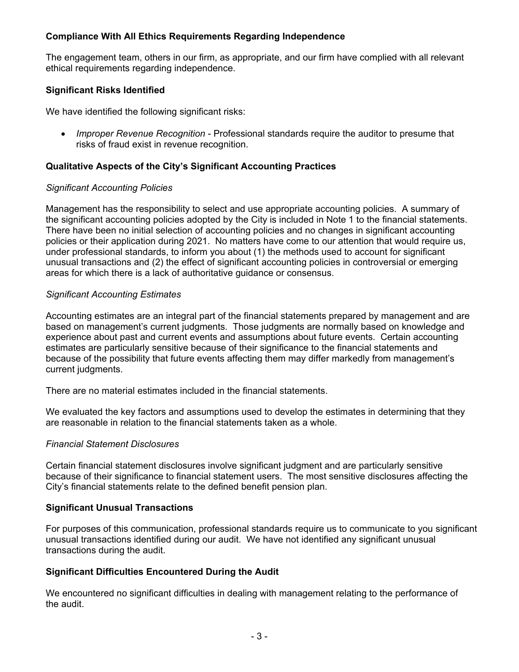#### **Compliance With All Ethics Requirements Regarding Independence**

The engagement team, others in our firm, as appropriate, and our firm have complied with all relevant ethical requirements regarding independence.

#### **Significant Risks Identified**

We have identified the following significant risks:

 *Improper Revenue Recognition* - Professional standards require the auditor to presume that risks of fraud exist in revenue recognition.

#### **Qualitative Aspects of the City's Significant Accounting Practices**

#### *Significant Accounting Policies*

Management has the responsibility to select and use appropriate accounting policies. A summary of the significant accounting policies adopted by the City is included in Note 1 to the financial statements. There have been no initial selection of accounting policies and no changes in significant accounting policies or their application during 2021. No matters have come to our attention that would require us, under professional standards, to inform you about (1) the methods used to account for significant unusual transactions and (2) the effect of significant accounting policies in controversial or emerging areas for which there is a lack of authoritative guidance or consensus.

#### *Significant Accounting Estimates*

Accounting estimates are an integral part of the financial statements prepared by management and are based on management's current judgments. Those judgments are normally based on knowledge and experience about past and current events and assumptions about future events. Certain accounting estimates are particularly sensitive because of their significance to the financial statements and because of the possibility that future events affecting them may differ markedly from management's current judgments.

There are no material estimates included in the financial statements.

We evaluated the key factors and assumptions used to develop the estimates in determining that they are reasonable in relation to the financial statements taken as a whole.

#### *Financial Statement Disclosures*

Certain financial statement disclosures involve significant judgment and are particularly sensitive because of their significance to financial statement users. The most sensitive disclosures affecting the City's financial statements relate to the defined benefit pension plan.

#### **Significant Unusual Transactions**

For purposes of this communication, professional standards require us to communicate to you significant unusual transactions identified during our audit. We have not identified any significant unusual transactions during the audit.

#### **Significant Difficulties Encountered During the Audit**

We encountered no significant difficulties in dealing with management relating to the performance of the audit.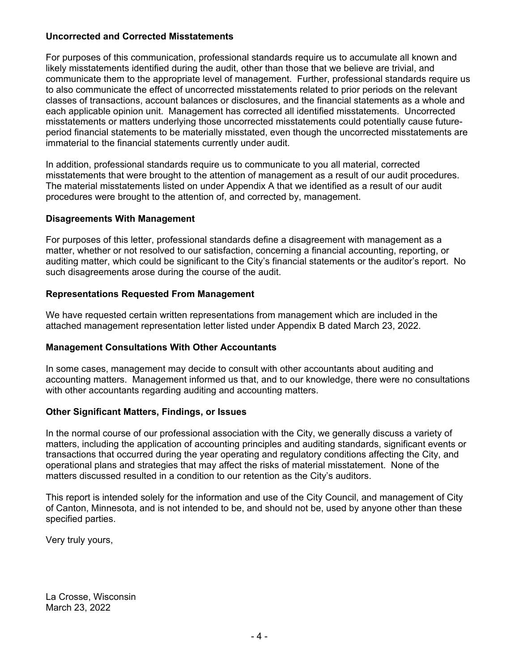#### **Uncorrected and Corrected Misstatements**

For purposes of this communication, professional standards require us to accumulate all known and likely misstatements identified during the audit, other than those that we believe are trivial, and communicate them to the appropriate level of management. Further, professional standards require us to also communicate the effect of uncorrected misstatements related to prior periods on the relevant classes of transactions, account balances or disclosures, and the financial statements as a whole and each applicable opinion unit. Management has corrected all identified misstatements. Uncorrected misstatements or matters underlying those uncorrected misstatements could potentially cause futureperiod financial statements to be materially misstated, even though the uncorrected misstatements are immaterial to the financial statements currently under audit.

In addition, professional standards require us to communicate to you all material, corrected misstatements that were brought to the attention of management as a result of our audit procedures. The material misstatements listed on under Appendix A that we identified as a result of our audit procedures were brought to the attention of, and corrected by, management.

#### **Disagreements With Management**

For purposes of this letter, professional standards define a disagreement with management as a matter, whether or not resolved to our satisfaction, concerning a financial accounting, reporting, or auditing matter, which could be significant to the City's financial statements or the auditor's report. No such disagreements arose during the course of the audit.

#### **Representations Requested From Management**

We have requested certain written representations from management which are included in the attached management representation letter listed under Appendix B dated March 23, 2022.

#### **Management Consultations With Other Accountants**

In some cases, management may decide to consult with other accountants about auditing and accounting matters. Management informed us that, and to our knowledge, there were no consultations with other accountants regarding auditing and accounting matters.

#### **Other Significant Matters, Findings, or Issues**

In the normal course of our professional association with the City, we generally discuss a variety of matters, including the application of accounting principles and auditing standards, significant events or transactions that occurred during the year operating and regulatory conditions affecting the City, and operational plans and strategies that may affect the risks of material misstatement. None of the matters discussed resulted in a condition to our retention as the City's auditors.

This report is intended solely for the information and use of the City Council, and management of City of Canton, Minnesota, and is not intended to be, and should not be, used by anyone other than these specified parties.

Very truly yours,

La Crosse, Wisconsin March 23, 2022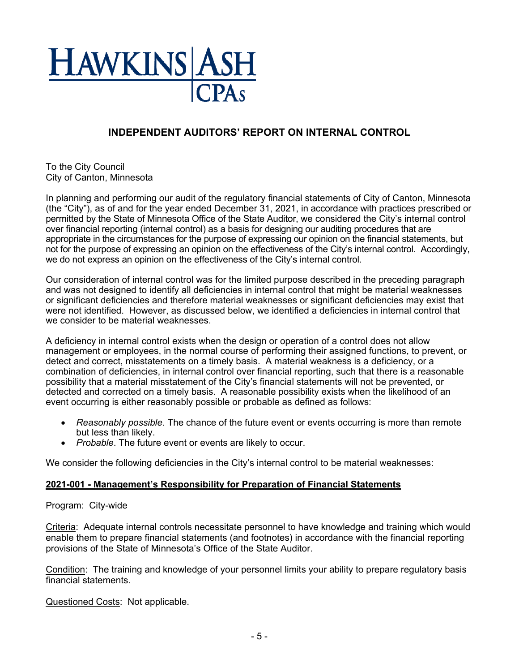

## **INDEPENDENT AUDITORS' REPORT ON INTERNAL CONTROL**

To the City Council City of Canton, Minnesota

In planning and performing our audit of the regulatory financial statements of City of Canton, Minnesota (the "City"), as of and for the year ended December 31, 2021, in accordance with practices prescribed or permitted by the State of Minnesota Office of the State Auditor, we considered the City's internal control over financial reporting (internal control) as a basis for designing our auditing procedures that are appropriate in the circumstances for the purpose of expressing our opinion on the financial statements, but not for the purpose of expressing an opinion on the effectiveness of the City's internal control. Accordingly, we do not express an opinion on the effectiveness of the City's internal control.

Our consideration of internal control was for the limited purpose described in the preceding paragraph and was not designed to identify all deficiencies in internal control that might be material weaknesses or significant deficiencies and therefore material weaknesses or significant deficiencies may exist that were not identified. However, as discussed below, we identified a deficiencies in internal control that we consider to be material weaknesses.

A deficiency in internal control exists when the design or operation of a control does not allow management or employees, in the normal course of performing their assigned functions, to prevent, or detect and correct, misstatements on a timely basis. A material weakness is a deficiency, or a combination of deficiencies, in internal control over financial reporting, such that there is a reasonable possibility that a material misstatement of the City's financial statements will not be prevented, or detected and corrected on a timely basis. A reasonable possibility exists when the likelihood of an event occurring is either reasonably possible or probable as defined as follows:

- *Reasonably possible*. The chance of the future event or events occurring is more than remote but less than likely.
- *Probable*. The future event or events are likely to occur.

We consider the following deficiencies in the City's internal control to be material weaknesses:

#### **2021-001 - Management's Responsibility for Preparation of Financial Statements**

#### Program: City-wide

Criteria: Adequate internal controls necessitate personnel to have knowledge and training which would enable them to prepare financial statements (and footnotes) in accordance with the financial reporting provisions of the State of Minnesota's Office of the State Auditor.

Condition: The training and knowledge of your personnel limits your ability to prepare regulatory basis financial statements.

Questioned Costs: Not applicable.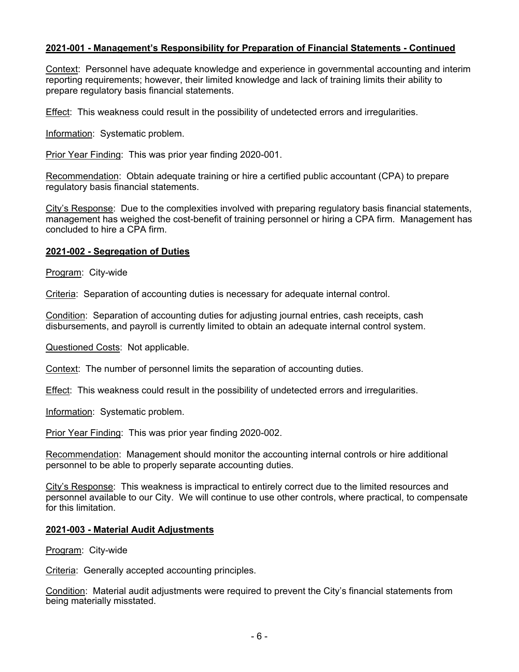#### **2021-001 - Management's Responsibility for Preparation of Financial Statements - Continued**

Context: Personnel have adequate knowledge and experience in governmental accounting and interim reporting requirements; however, their limited knowledge and lack of training limits their ability to prepare regulatory basis financial statements.

Effect: This weakness could result in the possibility of undetected errors and irregularities.

Information: Systematic problem.

Prior Year Finding: This was prior year finding 2020-001.

Recommendation: Obtain adequate training or hire a certified public accountant (CPA) to prepare regulatory basis financial statements.

City's Response: Due to the complexities involved with preparing regulatory basis financial statements, management has weighed the cost-benefit of training personnel or hiring a CPA firm. Management has concluded to hire a CPA firm.

#### **2021-002 - Segregation of Duties**

Program: City-wide

Criteria: Separation of accounting duties is necessary for adequate internal control.

Condition: Separation of accounting duties for adjusting journal entries, cash receipts, cash disbursements, and payroll is currently limited to obtain an adequate internal control system.

Questioned Costs: Not applicable.

Context: The number of personnel limits the separation of accounting duties.

Effect: This weakness could result in the possibility of undetected errors and irregularities.

Information: Systematic problem.

Prior Year Finding: This was prior year finding 2020-002.

Recommendation: Management should monitor the accounting internal controls or hire additional personnel to be able to properly separate accounting duties.

City's Response: This weakness is impractical to entirely correct due to the limited resources and personnel available to our City. We will continue to use other controls, where practical, to compensate for this limitation.

#### **2021-003 - Material Audit Adjustments**

Program: City-wide

Criteria: Generally accepted accounting principles.

Condition: Material audit adjustments were required to prevent the City's financial statements from being materially misstated.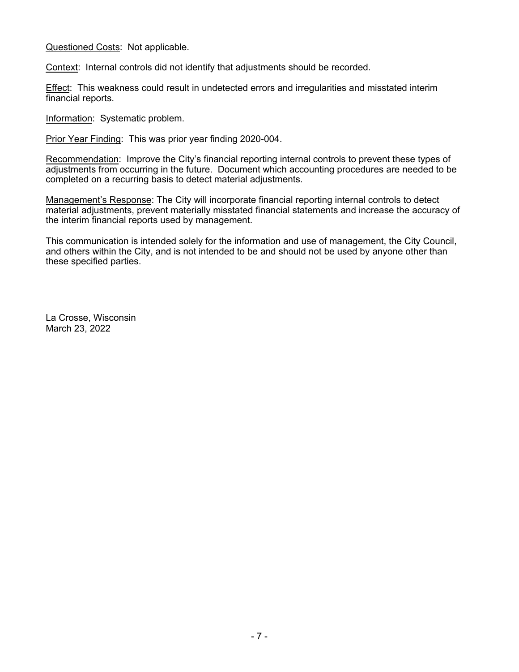Questioned Costs: Not applicable.

Context: Internal controls did not identify that adjustments should be recorded.

Effect: This weakness could result in undetected errors and irregularities and misstated interim financial reports.

Information: Systematic problem.

Prior Year Finding: This was prior year finding 2020-004.

Recommendation: Improve the City's financial reporting internal controls to prevent these types of adjustments from occurring in the future. Document which accounting procedures are needed to be completed on a recurring basis to detect material adjustments.

Management's Response: The City will incorporate financial reporting internal controls to detect material adjustments, prevent materially misstated financial statements and increase the accuracy of the interim financial reports used by management.

This communication is intended solely for the information and use of management, the City Council, and others within the City, and is not intended to be and should not be used by anyone other than these specified parties.

La Crosse, Wisconsin March 23, 2022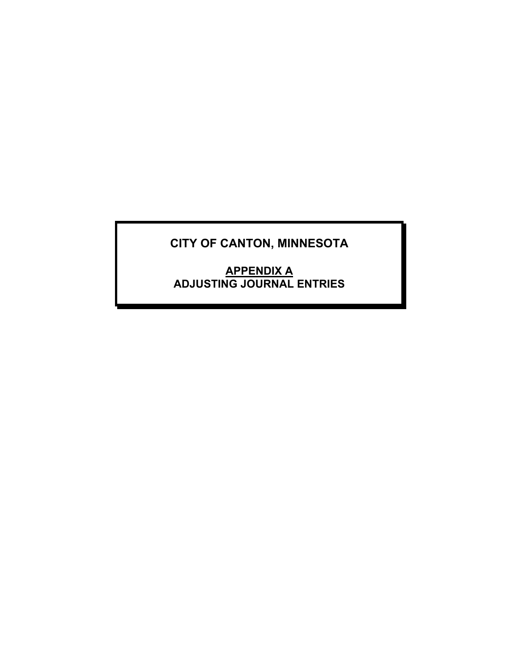**APPENDIX A ADJUSTING JOURNAL ENTRIES**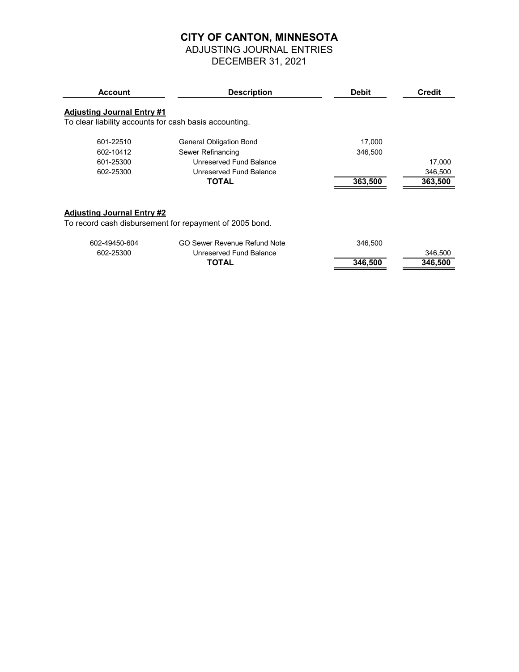# ADJUSTING JOURNAL ENTRIES

DECEMBER 31, 2021

| <b>Account</b>                    | <b>Description</b>                                      | <b>Debit</b> | <b>Credit</b> |
|-----------------------------------|---------------------------------------------------------|--------------|---------------|
| <b>Adjusting Journal Entry #1</b> |                                                         |              |               |
|                                   | To clear liability accounts for cash basis accounting.  |              |               |
| 601-22510                         | General Obligation Bond                                 | 17,000       |               |
| 602-10412                         | Sewer Refinancing                                       | 346,500      |               |
| 601-25300                         | Unreserved Fund Balance                                 |              | 17,000        |
| 602-25300                         | Unreserved Fund Balance                                 |              | 346,500       |
|                                   | <b>TOTAL</b>                                            | 363,500      | 363,500       |
|                                   |                                                         |              |               |
|                                   |                                                         |              |               |
| <b>Adjusting Journal Entry #2</b> | To record cash disbursement for repayment of 2005 bond. |              |               |
|                                   |                                                         |              |               |
| 602-49450-604                     | GO Sewer Revenue Refund Note                            | 346,500      |               |
| 602-25300                         | Unreserved Fund Balance                                 |              | 346,500       |
|                                   | <b>TOTAL</b>                                            | 346,500      | 346,500       |